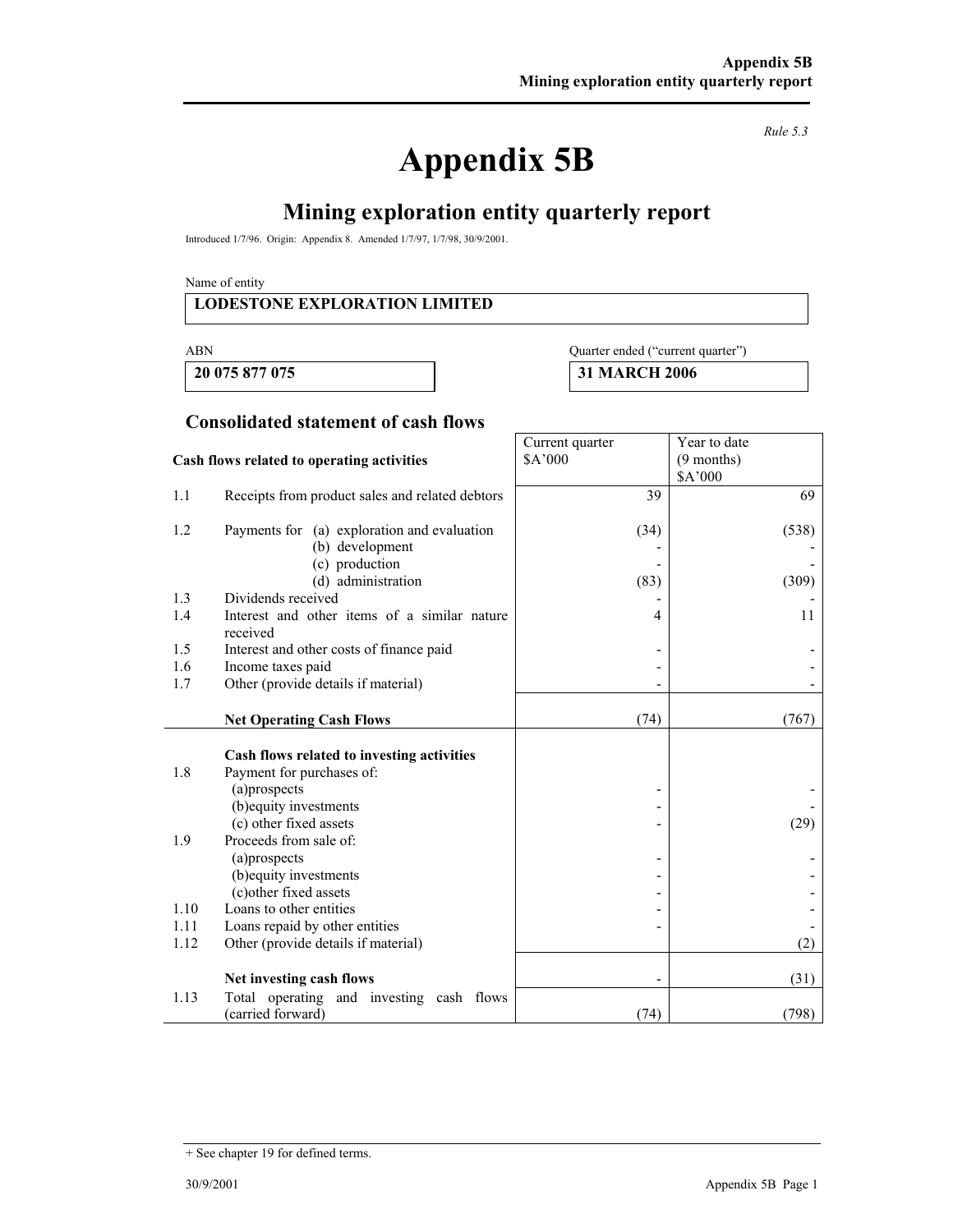# **Appendix 5B**

*Rule 5.3* 

# **Mining exploration entity quarterly report**

Introduced 1/7/96. Origin: Appendix 8. Amended 1/7/97, 1/7/98, 30/9/2001.

Name of entity

#### **LODESTONE EXPLORATION LIMITED**

 **20 075 877 075 31 MARCH 2006** 

#### ABN Quarter ended ("current quarter")

Year to date (9 months)

Current quarter \$A'000

#### **Consolidated statement of cash flows**

#### **Cash flows related to operating activities**

|      |                                                                         |      | \$A'000 |
|------|-------------------------------------------------------------------------|------|---------|
| 1.1  | Receipts from product sales and related debtors                         | 39   | 69      |
| 1.2  | Payments for (a) exploration and evaluation                             | (34) | (538)   |
|      | (b) development                                                         |      |         |
|      | (c) production                                                          |      |         |
|      | (d) administration                                                      | (83) | (309)   |
| 1.3  | Dividends received                                                      |      |         |
| 1.4  | Interest and other items of a similar nature<br>received                | 4    | 11      |
| 1.5  | Interest and other costs of finance paid                                |      |         |
| 1.6  | Income taxes paid                                                       |      |         |
| 1.7  | Other (provide details if material)                                     |      |         |
|      |                                                                         |      |         |
|      | <b>Net Operating Cash Flows</b>                                         | (74) | (767)   |
| 1.8  | Cash flows related to investing activities<br>Payment for purchases of: |      |         |
|      | (a)prospects                                                            |      |         |
|      | (b) equity investments                                                  |      |         |
| 1.9  | (c) other fixed assets<br>Proceeds from sale of:                        |      | (29)    |
|      | (a)prospects                                                            |      |         |
|      | (b) equity investments                                                  |      |         |
|      | (c) other fixed assets                                                  |      |         |
| 1.10 | Loans to other entities                                                 |      |         |
| 1.11 | Loans repaid by other entities                                          |      |         |
| 1.12 | Other (provide details if material)                                     |      | (2)     |
|      |                                                                         |      |         |
|      | Net investing cash flows                                                |      | (31)    |
| 1.13 | Total operating and investing cash flows<br>(carried forward)           | (74) | (798)   |

<sup>+</sup> See chapter 19 for defined terms.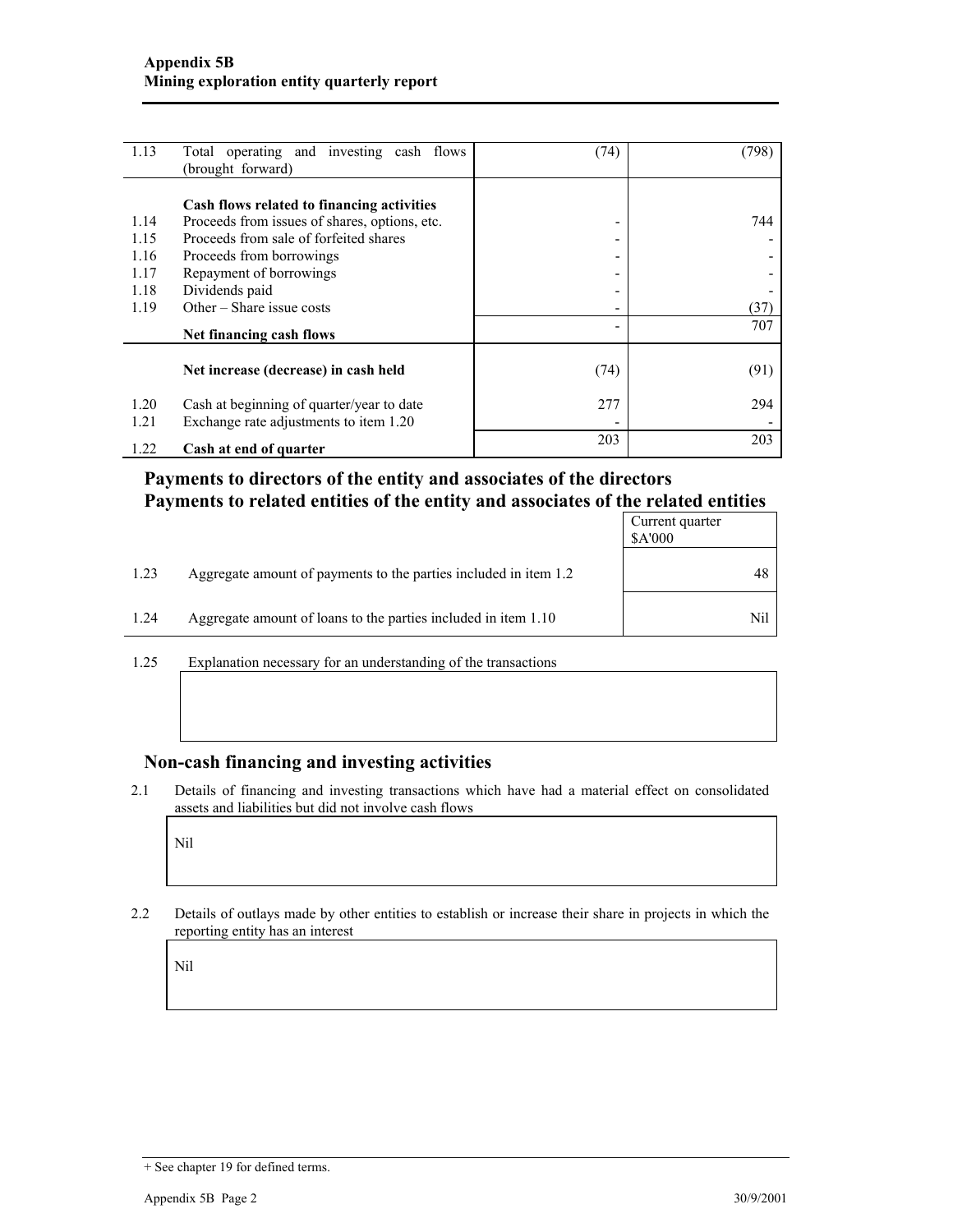| 1.13 | Total operating and investing cash flows      | (74) | (798) |
|------|-----------------------------------------------|------|-------|
|      | (brought forward)                             |      |       |
|      |                                               |      |       |
|      | Cash flows related to financing activities    |      |       |
| 1.14 | Proceeds from issues of shares, options, etc. | ۰    | 744   |
| 1.15 | Proceeds from sale of forfeited shares        | -    |       |
| 1.16 | Proceeds from borrowings                      | -    |       |
| 1.17 | Repayment of borrowings                       | -    |       |
| 1.18 | Dividends paid                                | -    |       |
| 1.19 | Other $-$ Share issue costs                   | -    | (37)  |
|      | Net financing cash flows                      |      | 707   |
|      |                                               |      |       |
|      | Net increase (decrease) in cash held          | (74) | (91)  |
| 1.20 | Cash at beginning of quarter/year to date     | 277  | 294   |
| 1.21 | Exchange rate adjustments to item 1.20        |      |       |
|      |                                               | 203  | 203   |
| 1.22 | Cash at end of quarter                        |      |       |

### **Payments to directors of the entity and associates of the directors Payments to related entities of the entity and associates of the related entities**

|      |                                                                  | Current quarter<br><b>SA'000</b> |
|------|------------------------------------------------------------------|----------------------------------|
| 1.23 | Aggregate amount of payments to the parties included in item 1.2 | 48                               |
| 1.24 | Aggregate amount of loans to the parties included in item 1.10   | Nil                              |

1.25 Explanation necessary for an understanding of the transactions

#### **Non-cash financing and investing activities**

2.1 Details of financing and investing transactions which have had a material effect on consolidated assets and liabilities but did not involve cash flows

Nil

2.2 Details of outlays made by other entities to establish or increase their share in projects in which the reporting entity has an interest

Nil

<sup>+</sup> See chapter 19 for defined terms.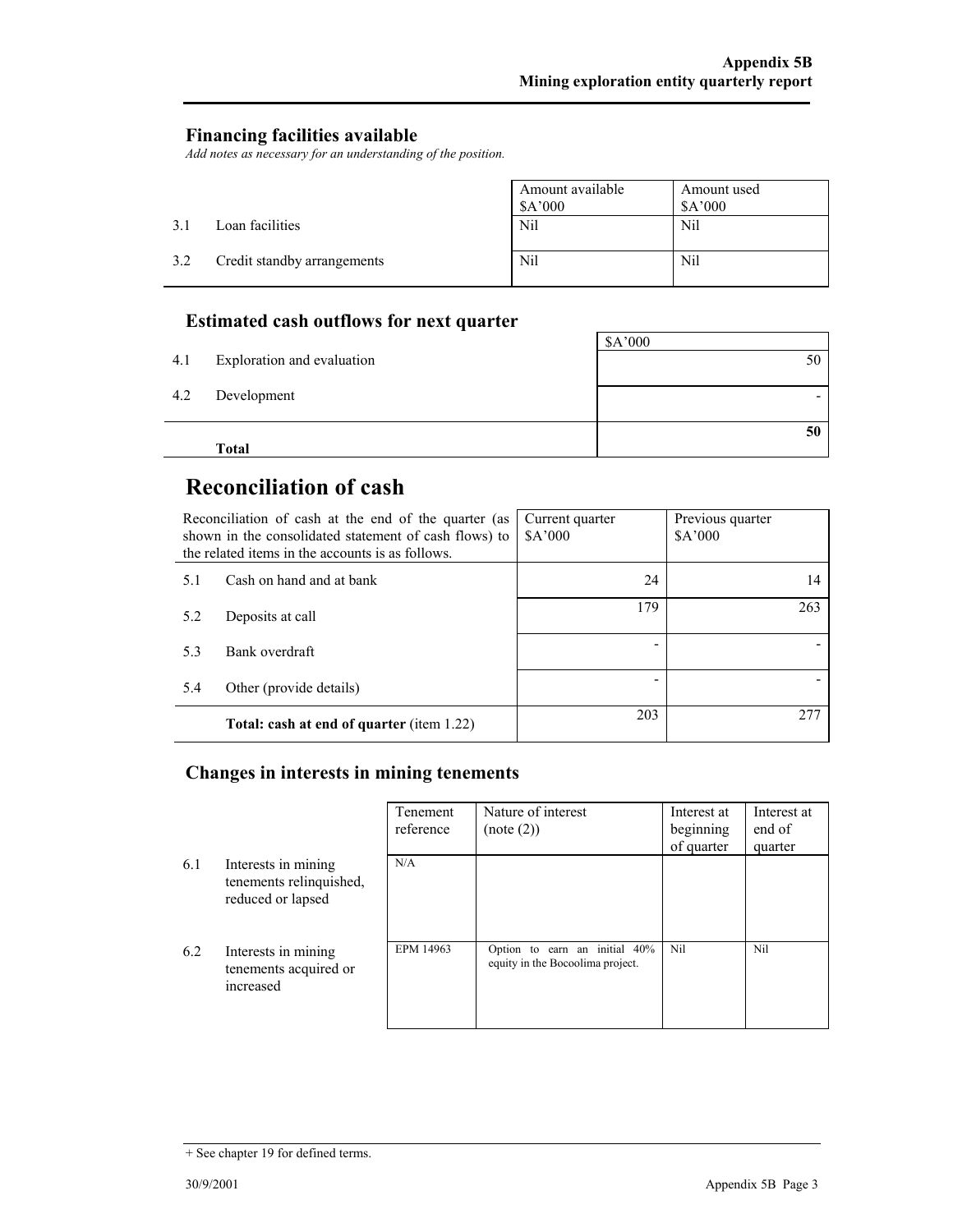#### **Financing facilities available**

*Add notes as necessary for an understanding of the position.* 

|     |                             | Amount available<br>\$A'000 | Amount used<br>\$A'000 |
|-----|-----------------------------|-----------------------------|------------------------|
| 31  | Loan facilities             | Nil                         | Nil                    |
| 3.2 | Credit standby arrangements | Nil                         | Nil                    |

## **Estimated cash outflows for next quarter**

|     | <b>Total</b>               | 50      |
|-----|----------------------------|---------|
| 4.2 | Development                |         |
| 4.1 | Exploration and evaluation | 50      |
|     |                            | \$A'000 |

# **Reconciliation of cash**

| Reconciliation of cash at the end of the quarter (as<br>shown in the consolidated statement of cash flows) to<br>the related items in the accounts is as follows. |                                                  | Current quarter<br>\$A'000 | Previous quarter<br>\$A'000 |
|-------------------------------------------------------------------------------------------------------------------------------------------------------------------|--------------------------------------------------|----------------------------|-----------------------------|
| 5.1                                                                                                                                                               | Cash on hand and at bank                         | 24                         | 14                          |
| 5.2                                                                                                                                                               | Deposits at call                                 | 179                        | 263                         |
| 5.3                                                                                                                                                               | Bank overdraft                                   |                            |                             |
| 5.4                                                                                                                                                               | Other (provide details)                          |                            |                             |
|                                                                                                                                                                   | <b>Total: cash at end of quarter (item 1.22)</b> | 203                        | 277                         |

## **Changes in interests in mining tenements**

|     |                                                                     | Tenement<br>reference | Nature of interest<br>(note (2))                                     | Interest at<br>beginning<br>of quarter | Interest at<br>end of<br>quarter |
|-----|---------------------------------------------------------------------|-----------------------|----------------------------------------------------------------------|----------------------------------------|----------------------------------|
| 6.1 | Interests in mining<br>tenements relinquished,<br>reduced or lapsed | N/A                   |                                                                      |                                        |                                  |
| 6.2 | Interests in mining<br>tenements acquired or<br>increased           | EPM 14963             | earn an initial 40%<br>Option to<br>equity in the Bocoolima project. | Nil                                    | Nil                              |

<sup>+</sup> See chapter 19 for defined terms.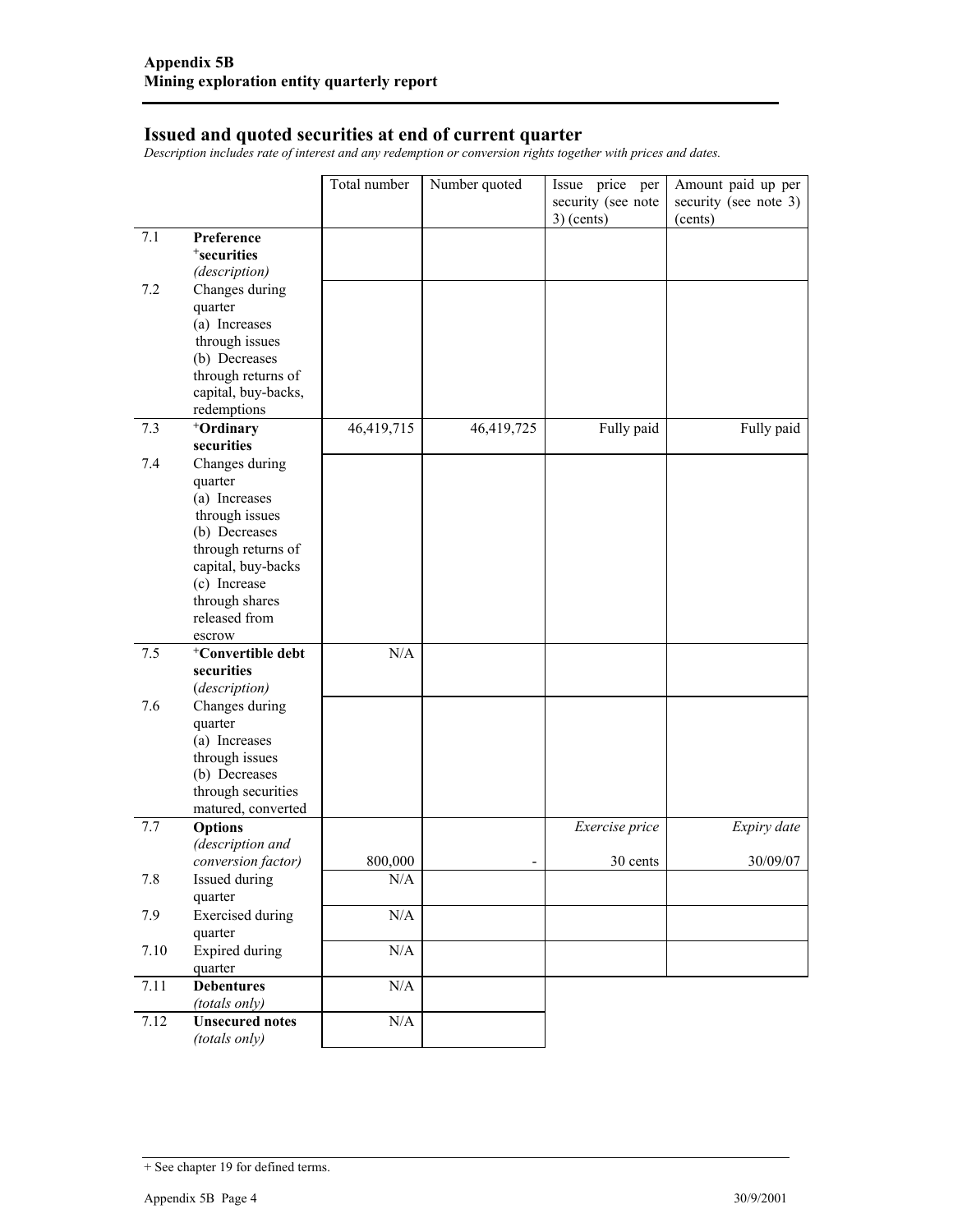#### **Issued and quoted securities at end of current quarter**

*Description includes rate of interest and any redemption or conversion rights together with prices and dates.* 

|      |                                    | Total number | Number quoted | Issue price per<br>security (see note<br>$3)$ (cents) | Amount paid up per<br>security (see note 3)<br>(cents) |
|------|------------------------------------|--------------|---------------|-------------------------------------------------------|--------------------------------------------------------|
| 7.1  | Preference                         |              |               |                                                       |                                                        |
|      | <sup>+</sup> securities            |              |               |                                                       |                                                        |
|      | (description)                      |              |               |                                                       |                                                        |
| 7.2  | Changes during                     |              |               |                                                       |                                                        |
|      | quarter                            |              |               |                                                       |                                                        |
|      | (a) Increases                      |              |               |                                                       |                                                        |
|      | through issues                     |              |               |                                                       |                                                        |
|      | (b) Decreases                      |              |               |                                                       |                                                        |
|      | through returns of                 |              |               |                                                       |                                                        |
|      | capital, buy-backs,                |              |               |                                                       |                                                        |
|      | redemptions                        |              |               |                                                       |                                                        |
| 7.3  | +Ordinary                          | 46,419,715   | 46,419,725    | Fully paid                                            | Fully paid                                             |
|      | securities                         |              |               |                                                       |                                                        |
| 7.4  | Changes during                     |              |               |                                                       |                                                        |
|      | quarter<br>(a) Increases           |              |               |                                                       |                                                        |
|      | through issues                     |              |               |                                                       |                                                        |
|      | (b) Decreases                      |              |               |                                                       |                                                        |
|      | through returns of                 |              |               |                                                       |                                                        |
|      | capital, buy-backs                 |              |               |                                                       |                                                        |
|      | (c) Increase                       |              |               |                                                       |                                                        |
|      | through shares                     |              |               |                                                       |                                                        |
|      | released from                      |              |               |                                                       |                                                        |
|      | escrow                             |              |               |                                                       |                                                        |
| 7.5  | <sup>+</sup> Convertible debt      | N/A          |               |                                                       |                                                        |
|      | securities                         |              |               |                                                       |                                                        |
|      | (description)                      |              |               |                                                       |                                                        |
| 7.6  | Changes during                     |              |               |                                                       |                                                        |
|      | quarter<br>(a) Increases           |              |               |                                                       |                                                        |
|      | through issues                     |              |               |                                                       |                                                        |
|      | (b) Decreases                      |              |               |                                                       |                                                        |
|      | through securities                 |              |               |                                                       |                                                        |
|      | matured, converted                 |              |               |                                                       |                                                        |
| 7.7  | <b>Options</b>                     |              |               | Exercise price                                        | Expiry date                                            |
|      | (description and                   |              |               |                                                       |                                                        |
|      | conversion factor)                 | 800,000      |               | 30 cents                                              | 30/09/07                                               |
| 7.8  | Issued during                      | N/A          |               |                                                       |                                                        |
|      | quarter                            |              |               |                                                       |                                                        |
| 7.9  | <b>Exercised</b> during<br>quarter | $\rm N/A$    |               |                                                       |                                                        |
| 7.10 | <b>Expired during</b>              | $\rm N/A$    |               |                                                       |                                                        |
|      | quarter                            |              |               |                                                       |                                                        |
| 7.11 | <b>Debentures</b>                  | $\rm N/A$    |               |                                                       |                                                        |
|      | (totals only)                      |              |               |                                                       |                                                        |
| 7.12 | <b>Unsecured notes</b>             | $\rm N/A$    |               |                                                       |                                                        |
|      | (totals only)                      |              |               |                                                       |                                                        |

<sup>+</sup> See chapter 19 for defined terms.